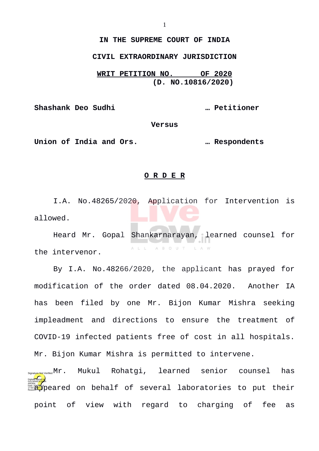## **IN THE SUPREME COURT OF INDIA**

## **CIVIL EXTRAORDINARY JURISDICTION**

**WRIT PETITION NO. OF 2020 (D. NO.10816/2020)**

**Shashank Deo Sudhi … Petitioner**

**Versus**

**Union of India and Ors. … Respondents**

## **O R D E R**

I.A. No.48265/2020, Application for Intervention is allowed.

Heard Mr. Gopal Shankarnarayan, learned counsel for ALL ABOUT LAW the intervenor.

By I.A. No.48266/2020, the applicant has prayed for modification of the order dated 08.04.2020. Another IA has been filed by one Mr. Bijon Kumar Mishra seeking impleadment and directions to ensure the treatment of COVID-19 infected patients free of cost in all hospitals. Mr. Bijon Kumar Mishra is permitted to intervene.

Mukul Rohatgi, learned senior counsel has as **app**eared on behalf of several laboratories to put their point of view with regard to charging of fee as Digitally signed by GÜLSHAN <mark>KUM</mark>AR ARORA 17:50:39 IST Reason:  $S_{\text{Not Verified}} M r$  .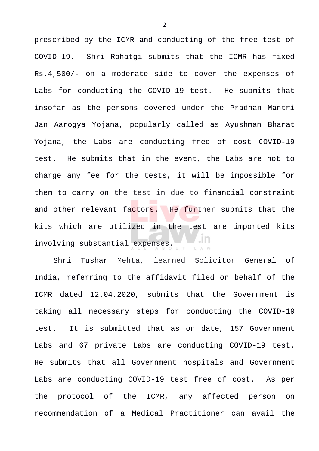prescribed by the ICMR and conducting of the free test of COVID-19. Shri Rohatgi submits that the ICMR has fixed Rs.4,500/- on a moderate side to cover the expenses of Labs for conducting the COVID-19 test. He submits that insofar as the persons covered under the Pradhan Mantri Jan Aarogya Yojana, popularly called as Ayushman Bharat Yojana, the Labs are conducting free of cost COVID-19 test. He submits that in the event, the Labs are not to charge any fee for the tests, it will be impossible for them to carry on the test in due to financial constraint and other relevant factors. He further submits that the kits which are utilized in the test are imported kits involving substantial expenses.

Shri Tushar Mehta, learned Solicitor General of India, referring to the affidavit filed on behalf of the ICMR dated 12.04.2020, submits that the Government is taking all necessary steps for conducting the COVID-19 test. It is submitted that as on date, 157 Government Labs and 67 private Labs are conducting COVID-19 test. He submits that all Government hospitals and Government Labs are conducting COVID-19 test free of cost. As per the protocol of the ICMR, any affected person on recommendation of a Medical Practitioner can avail the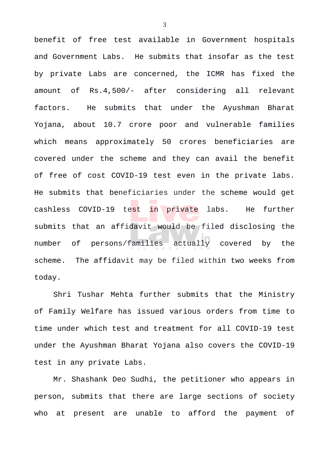benefit of free test available in Government hospitals and Government Labs. He submits that insofar as the test by private Labs are concerned, the ICMR has fixed the amount of Rs.4,500/- after considering all relevant factors. He submits that under the Ayushman Bharat Yojana, about 10.7 crore poor and vulnerable families which means approximately 50 crores beneficiaries are covered under the scheme and they can avail the benefit of free of cost COVID-19 test even in the private labs. He submits that beneficiaries under the scheme would get cashless COVID-19 test in private labs. He further submits that an affidavit would be filed disclosing the number of persons/families actually covered by the scheme. The affidavit may be filed within two weeks from today.

Shri Tushar Mehta further submits that the Ministry of Family Welfare has issued various orders from time to time under which test and treatment for all COVID-19 test under the Ayushman Bharat Yojana also covers the COVID-19 test in any private Labs.

Mr. Shashank Deo Sudhi, the petitioner who appears in person, submits that there are large sections of society who at present are unable to afford the payment of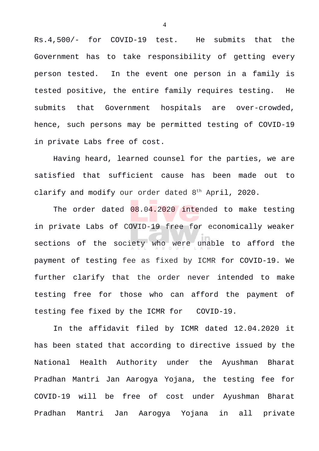Rs.4,500/- for COVID-19 test. He submits that the Government has to take responsibility of getting every person tested. In the event one person in a family is tested positive, the entire family requires testing. He submits that Government hospitals are over-crowded, hence, such persons may be permitted testing of COVID-19 in private Labs free of cost.

Having heard, learned counsel for the parties, we are satisfied that sufficient cause has been made out to clarify and modify our order dated 8th April, 2020.

The order dated 08.04.2020 intended to make testing in private Labs of COVID-19 free for economically weaker sections of the society who were unable to afford the payment of testing fee as fixed by ICMR for COVID-19. We further clarify that the order never intended to make testing free for those who can afford the payment of testing fee fixed by the ICMR for COVID-19.

In the affidavit filed by ICMR dated 12.04.2020 it has been stated that according to directive issued by the National Health Authority under the Ayushman Bharat Pradhan Mantri Jan Aarogya Yojana, the testing fee for COVID-19 will be free of cost under Ayushman Bharat Pradhan Mantri Jan Aarogya Yojana in all private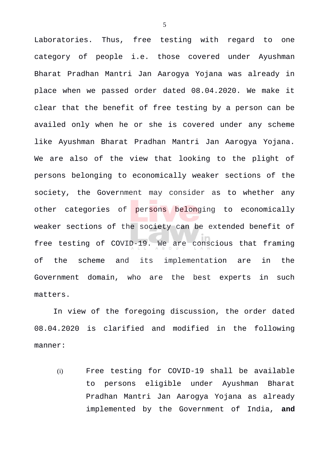Laboratories. Thus, free testing with regard to one category of people i.e. those covered under Ayushman Bharat Pradhan Mantri Jan Aarogya Yojana was already in place when we passed order dated 08.04.2020. We make it clear that the benefit of free testing by a person can be availed only when he or she is covered under any scheme like Ayushman Bharat Pradhan Mantri Jan Aarogya Yojana. We are also of the view that looking to the plight of persons belonging to economically weaker sections of the society, the Government may consider as to whether any other categories of persons belonging to economically weaker sections of the society can be extended benefit of free testing of COVID-19. We are conscious that framing of the scheme and its implementation are in the Government domain, who are the best experts in such matters.

In view of the foregoing discussion, the order dated 08.04.2020 is clarified and modified in the following manner:

(i) Free testing for COVID-19 shall be available to persons eligible under Ayushman Bharat Pradhan Mantri Jan Aarogya Yojana as already implemented by the Government of India, **and**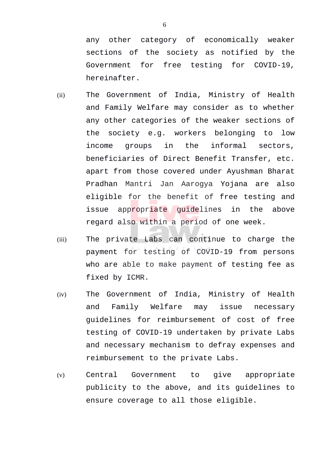any other category of economically weaker sections of the society as notified by the Government for free testing for COVID-19, hereinafter.

- (ii) The Government of India, Ministry of Health and Family Welfare may consider as to whether any other categories of the weaker sections of the society e.g. workers belonging to low income groups in the informal sectors, beneficiaries of Direct Benefit Transfer, etc. apart from those covered under Ayushman Bharat Pradhan Mantri Jan Aarogya Yojana are also eligible for the benefit of free testing and issue appropriate guidelines in the above regard also within a period of one week.
- (iii) The private Labs can continue to charge the payment for testing of COVID-19 from persons who are able to make payment of testing fee as fixed by ICMR.
- (iv) The Government of India, Ministry of Health and Family Welfare may issue necessary guidelines for reimbursement of cost of free testing of COVID-19 undertaken by private Labs and necessary mechanism to defray expenses and reimbursement to the private Labs.
- (v) Central Government to give appropriate publicity to the above, and its guidelines to ensure coverage to all those eligible.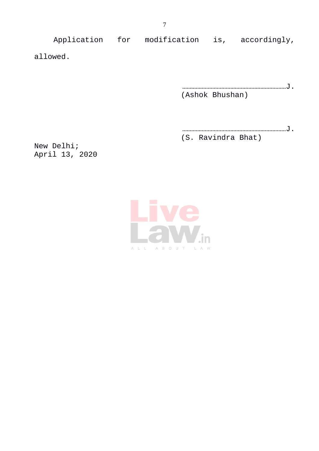Application for modification is, accordingly, allowed.

> ……………………………………………………………J. (Ashok Bhushan)

> ……………………………………………………………J. (S. Ravindra Bhat)

New Delhi; April 13, 2020

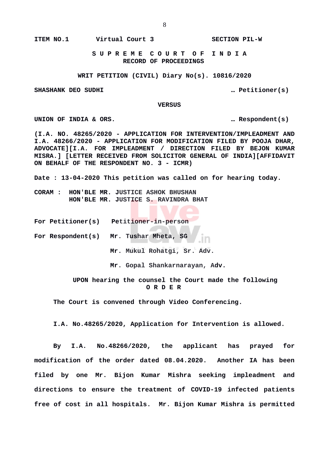**ITEM NO.1 Virtual Court 3 SECTION PIL-W**

 **S U P R E M E C O U R T O F I N D I A RECORD OF PROCEEDINGS**

**WRIT PETITION (CIVIL) Diary No(s). 10816/2020**

**SHASHANK DEO SUDHI … Petitioner(s)**

 **VERSUS**

**UNION OF INDIA & ORS. … Respondent(s)**

**(I.A. NO. 48265/2020 - APPLICATION FOR INTERVENTION/IMPLEADMENT AND I.A. 48266/2020 - APPLICATION FOR MODIFICATION FILED BY POOJA DHAR, ADVOCATE][I.A. FOR IMPLEADMENT / DIRECTION FILED BY BEJON KUMAR MISRA.] [LETTER RECEIVED FROM SOLICITOR GENERAL OF INDIA][AFFIDAVIT ON BEHALF OF THE RESPONDENT NO. 3 - ICMR)**

**Date : 13-04-2020 This petition was called on for hearing today.**

**CORAM : HON'BLE MR. JUSTICE ASHOK BHUSHAN HON'BLE MR. JUSTICE S. RAVINDRA BHAT**

**For Petitioner(s) Petitioner-in-person**

**For Respondent(s) Mr. Tushar Mheta, SG**

**Mr. Mukul Rohatgi, Sr. Adv.**

**Mr. Gopal Shankarnarayan, Adv.**

 **UPON hearing the counsel the Court made the following O R D E R**

**The Court is convened through Video Conferencing.**

**I.A. No.48265/2020, Application for Intervention is allowed.**

**By I.A. No.48266/2020, the applicant has prayed for modification of the order dated 08.04.2020. Another IA has been filed by one Mr. Bijon Kumar Mishra seeking impleadment and directions to ensure the treatment of COVID-19 infected patients free of cost in all hospitals. Mr. Bijon Kumar Mishra is permitted**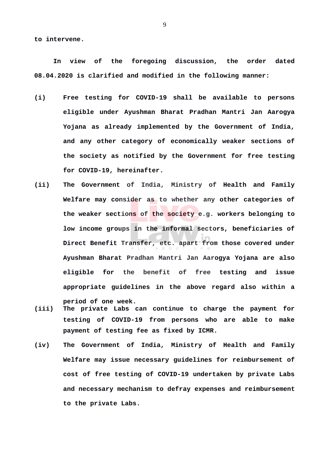**to intervene.**

**In view of the foregoing discussion, the order dated 08.04.2020 is clarified and modified in the following manner:**

- **(i) Free testing for COVID-19 shall be available to persons eligible under Ayushman Bharat Pradhan Mantri Jan Aarogya Yojana as already implemented by the Government of India, and any other category of economically weaker sections of the society as notified by the Government for free testing for COVID-19, hereinafter.**
- **(ii) The Government of India, Ministry of Health and Family Welfare may consider as to whether any other categories of the weaker sections of the society e.g. workers belonging to low income groups in the informal sectors, beneficiaries of Direct Benefit Transfer, etc. apart from those covered under Ayushman Bharat Pradhan Mantri Jan Aarogya Yojana are also eligible for the benefit of free testing and issue appropriate guidelines in the above regard also within a**
- **(iii) The private Labs can continue to charge the payment for testing of COVID-19 from persons who are able to make payment of testing fee as fixed by ICMR.**

**period of one week.** 

**(iv) The Government of India, Ministry of Health and Family Welfare may issue necessary guidelines for reimbursement of cost of free testing of COVID-19 undertaken by private Labs and necessary mechanism to defray expenses and reimbursement to the private Labs.**